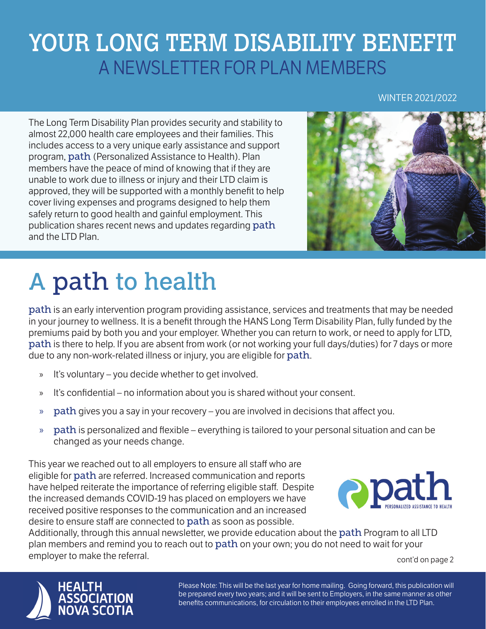## YOUR LONG TERM DISABILITY BENEFIT A NEWSLETTER FOR PLAN MEMBERS

#### WINTER 2021/2022

The Long Term Disability Plan provides security and stability to almost 22,000 health care employees and their families. This includes access to a very unique early assistance and support program, path (Personalized Assistance to Health). Plan members have the peace of mind of knowing that if they are unable to work due to illness or injury and their LTD claim is approved, they will be supported with a monthly benefit to help cover living expenses and programs designed to help them safely return to good health and gainful employment. This publication shares recent news and updates regarding path and the LTD Plan.



# A path to health

path is an early intervention program providing assistance, services and treatments that may be needed in your journey to wellness. It is a benefit through the HANS Long Term Disability Plan, fully funded by the premiums paid by both you and your employer. Whether you can return to work, or need to apply for LTD, path is there to help. If you are absent from work (or not working your full days/duties) for 7 days or more due to any non-work-related illness or injury, you are eligible for path.

- » It's voluntary you decide whether to get involved.
- » It's confidential no information about you is shared without your consent.
- $\gg$  path gives you a say in your recovery you are involved in decisions that affect you.
- $\gg$  path is personalized and flexible everything is tailored to your personal situation and can be changed as your needs change.

This year we reached out to all employers to ensure all staff who are eligible for path are referred. Increased communication and reports have helped reiterate the importance of referring eligible staff. Despite the increased demands COVID-19 has placed on employers we have received positive responses to the communication and an increased desire to ensure staff are connected to path as soon as possible.



Additionally, through this annual newsletter, we provide education about the path Program to all LTD plan members and remind you to reach out to **path** on your own; you do not need to wait for your employer to make the referral. The same state of the cont'd on page 2



Please Note: This will be the last year for home mailing. Going forward, this publication will be prepared every two years; and it will be sent to Employers, in the same manner as other benefits communications, for circulation to their employees enrolled in the LTD Plan.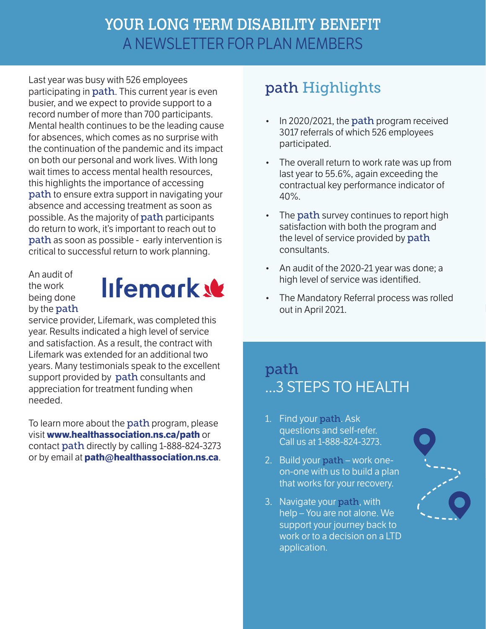#### YOUR LONG TERM DISABILITY BENEFIT A NEWSLETTER FOR PLAN MEMBERS

Last year was busy with 526 employees participating in **path**. This current year is even busier, and we expect to provide support to a record number of more than 700 participants. Mental health continues to be the leading cause for absences, which comes as no surprise with the continuation of the pandemic and its impact on both our personal and work lives. With long wait times to access mental health resources, this highlights the importance of accessing path to ensure extra support in navigating your absence and accessing treatment as soon as possible. As the majority of path participants do return to work, it's important to reach out to path as soon as possible - early intervention is critical to successful return to work planning.

An audit of the work being done by the path



service provider, Lifemark, was completed this year. Results indicated a high level of service and satisfaction. As a result, the contract with Lifemark was extended for an additional two years. Many testimonials speak to the excellent support provided by path consultants and appreciation for treatment funding when needed.

To learn more about the path program, please visit **www.healthassociation.ns.ca/path** or contact path directly by calling 1-888-824-3273 or by email at **path@healthassociation.ns.ca**.

### path Highlights

- In 2020/2021, the **path** program received 3017 referrals of which 526 employees participated.
- The overall return to work rate was up from last year to 55.6%, again exceeding the contractual key performance indicator of 40%.
- The **path** survey continues to report high satisfaction with both the program and the level of service provided by path consultants.
- An audit of the 2020-21 year was done; a high level of service was identified.
- The Mandatory Referral process was rolled out in April 2021.

#### path ...3 STEPS TO HEALTH

- 1. Find your path. Ask questions and self-refer. Call us at 1-888-824-3273.
- 2. Build your path work oneon-one with us to build a plan that works for your recovery.
- 3. Navigate your path, with help – You are not alone. We support your journey back to work or to a decision on a LTD application.

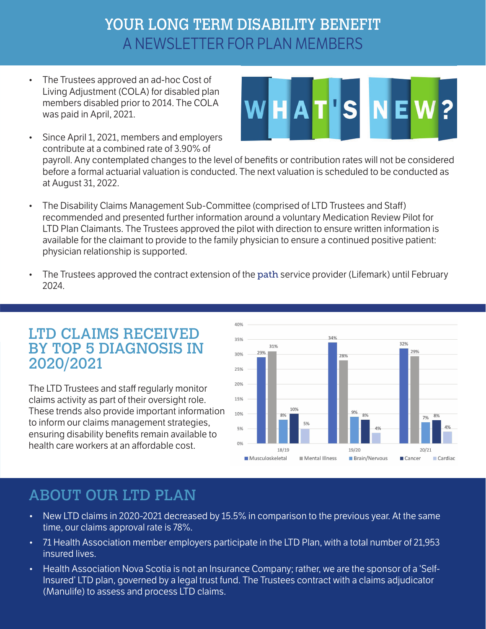### YOUR LONG TERM DISABILITY BENEFIT A NEWSLETTER FOR PLAN MEMBERS

• The Trustees approved an ad-hoc Cost of Living Adjustment (COLA) for disabled plan members disabled prior to 2014. The COLA was paid in April, 2021.



• Since April 1, 2021, members and employers contribute at a combined rate of 3.90% of

payroll. Any contemplated changes to the level of benefits or contribution rates will not be considered before a formal actuarial valuation is conducted. The next valuation is scheduled to be conducted as at August 31, 2022.

- The Disability Claims Management Sub-Committee (comprised of LTD Trustees and Staff) recommended and presented further information around a voluntary Medication Review Pilot for LTD Plan Claimants. The Trustees approved the pilot with direction to ensure written information is available for the claimant to provide to the family physician to ensure a continued positive patient: physician relationship is supported.
- The Trustees approved the contract extension of the path service provider (Lifemark) until February 2024.

#### LTD CLAIMS RECEIVED BY TOP 5 DIAGNOSIS IN 2020/2021

The LTD Trustees and staff regularly monitor claims activity as part of their oversight role. These trends also provide important information to inform our claims management strategies, ensuring disability benefits remain available to health care workers at an affordable cost.



#### ABOUT OUR LTD PLAN

- New LTD claims in 2020-2021 decreased by 15.5% in comparison to the previous year. At the same time, our claims approval rate is 78%.
- 71 Health Association member employers participate in the LTD Plan, with a total number of 21,953 insured lives.
- Health Association Nova Scotia is not an Insurance Company; rather, we are the sponsor of a 'Self-Insured' LTD plan, governed by a legal trust fund. The Trustees contract with a claims adjudicator (Manulife) to assess and process LTD claims.